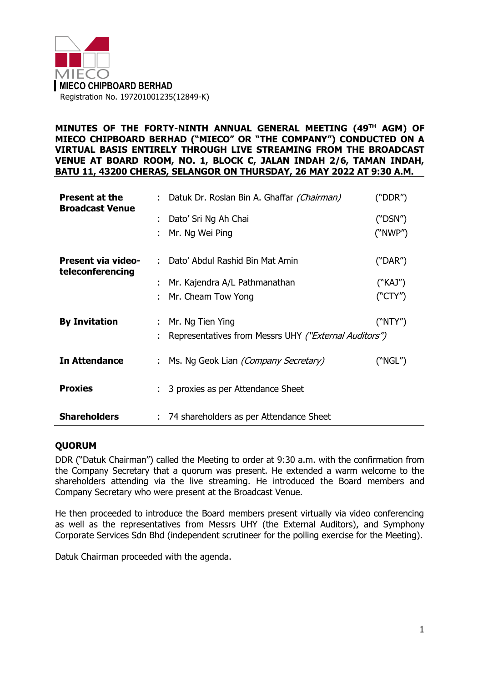

## **MINUTES OF THE FORTY-NINTH ANNUAL GENERAL MEETING (49 TH AGM) OF MIECO CHIPBOARD BERHAD ("MIECO" OR "THE COMPANY") CONDUCTED ON A VIRTUAL BASIS ENTIRELY THROUGH LIVE STREAMING FROM THE BROADCAST VENUE AT BOARD ROOM, NO. 1, BLOCK C, JALAN INDAH 2/6, TAMAN INDAH, BATU 11, 43200 CHERAS, SELANGOR ON THURSDAY, 26 MAY 2022 AT 9:30 A.M.**

| <b>Present at the</b><br><b>Broadcast Venue</b> | : Datuk Dr. Roslan Bin A. Ghaffar <i>(Chairman)</i>   | ("DDR") |
|-------------------------------------------------|-------------------------------------------------------|---------|
|                                                 | : Dato' Sri Ng Ah Chai                                | ("DSN") |
|                                                 | Mr. Ng Wei Ping                                       | ("NWP") |
| <b>Present via video-</b><br>teleconferencing   | : Dato' Abdul Rashid Bin Mat Amin                     | ("DAR") |
|                                                 | : Mr. Kajendra A/L Pathmanathan                       | ("KAJ") |
|                                                 | : Mr. Cheam Tow Yong                                  | ("CTY") |
| <b>By Invitation</b>                            | : Mr. Ng Tien Ying                                    | ("NTY") |
|                                                 | Representatives from Messrs UHY ("External Auditors") |         |
| <b>In Attendance</b>                            | Ms. Ng Geok Lian <i>(Company Secretary)</i>           | ("NGL") |
| <b>Proxies</b>                                  | : 3 proxies as per Attendance Sheet                   |         |
| <b>Shareholders</b>                             | 74 shareholders as per Attendance Sheet               |         |

# **QUORUM**

DDR ("Datuk Chairman") called the Meeting to order at 9:30 a.m. with the confirmation from the Company Secretary that a quorum was present. He extended a warm welcome to the shareholders attending via the live streaming. He introduced the Board members and Company Secretary who were present at the Broadcast Venue.

He then proceeded to introduce the Board members present virtually via video conferencing as well as the representatives from Messrs UHY (the External Auditors), and Symphony Corporate Services Sdn Bhd (independent scrutineer for the polling exercise for the Meeting).

Datuk Chairman proceeded with the agenda.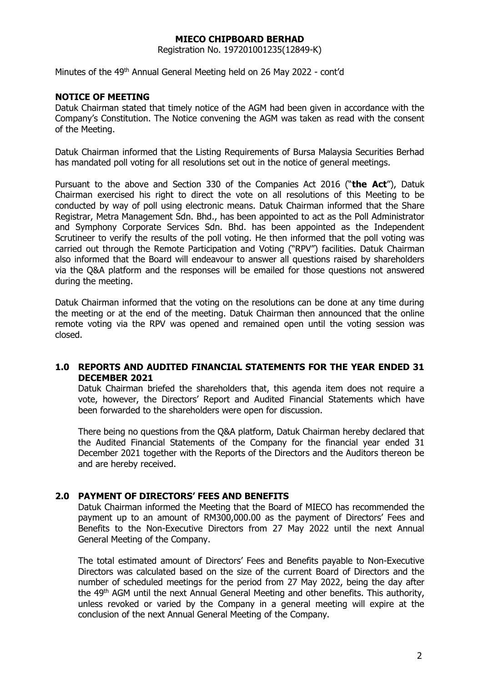Registration No. 197201001235(12849-K)

Minutes of the 49<sup>th</sup> Annual General Meeting held on 26 May 2022 - cont'd

## **NOTICE OF MEETING**

Datuk Chairman stated that timely notice of the AGM had been given in accordance with the Company's Constitution. The Notice convening the AGM was taken as read with the consent of the Meeting.

Datuk Chairman informed that the Listing Requirements of Bursa Malaysia Securities Berhad has mandated poll voting for all resolutions set out in the notice of general meetings.

Pursuant to the above and Section 330 of the Companies Act 2016 ("**the Act**"), Datuk Chairman exercised his right to direct the vote on all resolutions of this Meeting to be conducted by way of poll using electronic means. Datuk Chairman informed that the Share Registrar, Metra Management Sdn. Bhd., has been appointed to act as the Poll Administrator and Symphony Corporate Services Sdn. Bhd. has been appointed as the Independent Scrutineer to verify the results of the poll voting. He then informed that the poll voting was carried out through the Remote Participation and Voting ("RPV") facilities. Datuk Chairman also informed that the Board will endeavour to answer all questions raised by shareholders via the Q&A platform and the responses will be emailed for those questions not answered during the meeting.

Datuk Chairman informed that the voting on the resolutions can be done at any time during the meeting or at the end of the meeting. Datuk Chairman then announced that the online remote voting via the RPV was opened and remained open until the voting session was closed.

## **1.0 REPORTS AND AUDITED FINANCIAL STATEMENTS FOR THE YEAR ENDED 31 DECEMBER 2021**

Datuk Chairman briefed the shareholders that, this agenda item does not require a vote, however, the Directors' Report and Audited Financial Statements which have been forwarded to the shareholders were open for discussion.

There being no questions from the Q&A platform, Datuk Chairman hereby declared that the Audited Financial Statements of the Company for the financial year ended 31 December 2021 together with the Reports of the Directors and the Auditors thereon be and are hereby received.

### **2.0 PAYMENT OF DIRECTORS' FEES AND BENEFITS**

Datuk Chairman informed the Meeting that the Board of MIECO has recommended the payment up to an amount of RM300,000.00 as the payment of Directors' Fees and Benefits to the Non-Executive Directors from 27 May 2022 until the next Annual General Meeting of the Company.

The total estimated amount of Directors' Fees and Benefits payable to Non-Executive Directors was calculated based on the size of the current Board of Directors and the number of scheduled meetings for the period from 27 May 2022, being the day after the 49<sup>th</sup> AGM until the next Annual General Meeting and other benefits. This authority, unless revoked or varied by the Company in a general meeting will expire at the conclusion of the next Annual General Meeting of the Company.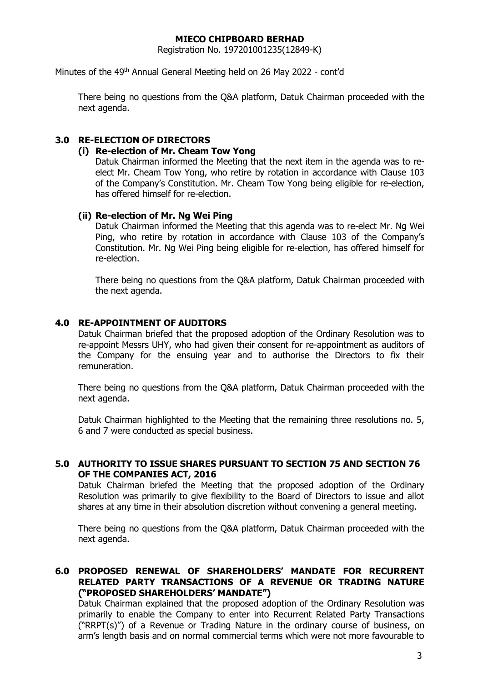Registration No. 197201001235(12849-K)

Minutes of the 49<sup>th</sup> Annual General Meeting held on 26 May 2022 - cont'd

There being no questions from the Q&A platform, Datuk Chairman proceeded with the next agenda.

## **3.0 RE-ELECTION OF DIRECTORS**

### **(i) Re-election of Mr. Cheam Tow Yong**

Datuk Chairman informed the Meeting that the next item in the agenda was to reelect Mr. Cheam Tow Yong, who retire by rotation in accordance with Clause 103 of the Company's Constitution. Mr. Cheam Tow Yong being eligible for re-election, has offered himself for re-election.

### **(ii) Re-election of Mr. Ng Wei Ping**

Datuk Chairman informed the Meeting that this agenda was to re-elect Mr. Ng Wei Ping, who retire by rotation in accordance with Clause 103 of the Company's Constitution. Mr. Ng Wei Ping being eligible for re-election, has offered himself for re-election.

There being no questions from the Q&A platform, Datuk Chairman proceeded with the next agenda.

### **4.0 RE-APPOINTMENT OF AUDITORS**

Datuk Chairman briefed that the proposed adoption of the Ordinary Resolution was to re-appoint Messrs UHY, who had given their consent for re-appointment as auditors of the Company for the ensuing year and to authorise the Directors to fix their remuneration.

There being no questions from the Q&A platform, Datuk Chairman proceeded with the next agenda.

Datuk Chairman highlighted to the Meeting that the remaining three resolutions no. 5, 6 and 7 were conducted as special business.

### **5.0 AUTHORITY TO ISSUE SHARES PURSUANT TO SECTION 75 AND SECTION 76 OF THE COMPANIES ACT, 2016**

Datuk Chairman briefed the Meeting that the proposed adoption of the Ordinary Resolution was primarily to give flexibility to the Board of Directors to issue and allot shares at any time in their absolution discretion without convening a general meeting.

There being no questions from the Q&A platform, Datuk Chairman proceeded with the next agenda.

### **6.0 PROPOSED RENEWAL OF SHAREHOLDERS' MANDATE FOR RECURRENT RELATED PARTY TRANSACTIONS OF A REVENUE OR TRADING NATURE ("PROPOSED SHAREHOLDERS' MANDATE")**

Datuk Chairman explained that the proposed adoption of the Ordinary Resolution was primarily to enable the Company to enter into Recurrent Related Party Transactions ("RRPT(s)") of a Revenue or Trading Nature in the ordinary course of business, on arm's length basis and on normal commercial terms which were not more favourable to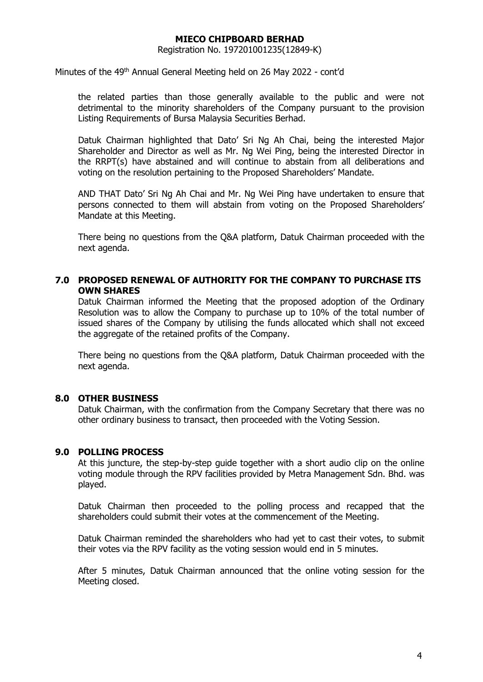Registration No. 197201001235(12849-K)

Minutes of the 49<sup>th</sup> Annual General Meeting held on 26 May 2022 - cont'd

the related parties than those generally available to the public and were not detrimental to the minority shareholders of the Company pursuant to the provision Listing Requirements of Bursa Malaysia Securities Berhad.

Datuk Chairman highlighted that Dato' Sri Ng Ah Chai, being the interested Major Shareholder and Director as well as Mr. Ng Wei Ping, being the interested Director in the RRPT(s) have abstained and will continue to abstain from all deliberations and voting on the resolution pertaining to the Proposed Shareholders' Mandate.

AND THAT Dato' Sri Ng Ah Chai and Mr. Ng Wei Ping have undertaken to ensure that persons connected to them will abstain from voting on the Proposed Shareholders' Mandate at this Meeting.

There being no questions from the Q&A platform, Datuk Chairman proceeded with the next agenda.

### **7.0 PROPOSED RENEWAL OF AUTHORITY FOR THE COMPANY TO PURCHASE ITS OWN SHARES**

Datuk Chairman informed the Meeting that the proposed adoption of the Ordinary Resolution was to allow the Company to purchase up to 10% of the total number of issued shares of the Company by utilising the funds allocated which shall not exceed the aggregate of the retained profits of the Company.

There being no questions from the Q&A platform, Datuk Chairman proceeded with the next agenda.

#### **8.0 OTHER BUSINESS**

Datuk Chairman, with the confirmation from the Company Secretary that there was no other ordinary business to transact, then proceeded with the Voting Session.

### **9.0 POLLING PROCESS**

At this juncture, the step-by-step guide together with a short audio clip on the online voting module through the RPV facilities provided by Metra Management Sdn. Bhd. was played.

Datuk Chairman then proceeded to the polling process and recapped that the shareholders could submit their votes at the commencement of the Meeting.

Datuk Chairman reminded the shareholders who had yet to cast their votes, to submit their votes via the RPV facility as the voting session would end in 5 minutes.

After 5 minutes, Datuk Chairman announced that the online voting session for the Meeting closed.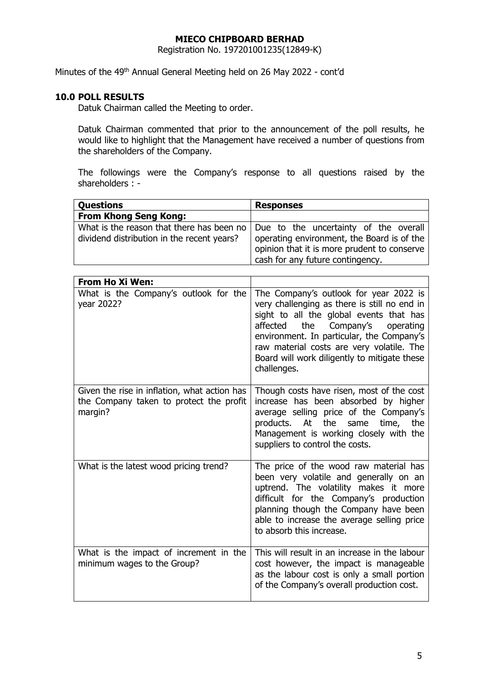Registration No. 197201001235(12849-K)

Minutes of the 49<sup>th</sup> Annual General Meeting held on 26 May 2022 - cont'd

## **10.0 POLL RESULTS**

Datuk Chairman called the Meeting to order.

Datuk Chairman commented that prior to the announcement of the poll results, he would like to highlight that the Management have received a number of questions from the shareholders of the Company.

The followings were the Company's response to all questions raised by the shareholders : -

| <b>Questions</b>                           | <b>Responses</b>                                                                                                                                                                                                   |
|--------------------------------------------|--------------------------------------------------------------------------------------------------------------------------------------------------------------------------------------------------------------------|
| <b>From Khong Seng Kong:</b>               |                                                                                                                                                                                                                    |
| dividend distribution in the recent years? | What is the reason that there has been no   Due to the uncertainty of the overall<br>operating environment, the Board is of the<br>opinion that it is more prudent to conserve<br>cash for any future contingency. |

| <b>From Ho Xi Wen:</b>                                                                             |                                                                                                                                                                                                                                                                                                                                         |
|----------------------------------------------------------------------------------------------------|-----------------------------------------------------------------------------------------------------------------------------------------------------------------------------------------------------------------------------------------------------------------------------------------------------------------------------------------|
| What is the Company's outlook for the<br>year 2022?                                                | The Company's outlook for year 2022 is<br>very challenging as there is still no end in<br>sight to all the global events that has<br>the<br>Company's<br>affected<br>operating<br>environment. In particular, the Company's<br>raw material costs are very volatile. The<br>Board will work diligently to mitigate these<br>challenges. |
| Given the rise in inflation, what action has<br>the Company taken to protect the profit<br>margin? | Though costs have risen, most of the cost<br>increase has been absorbed by higher<br>average selling price of the Company's<br>products. At the<br>same<br>time,<br>the<br>Management is working closely with the<br>suppliers to control the costs.                                                                                    |
| What is the latest wood pricing trend?                                                             | The price of the wood raw material has<br>been very volatile and generally on an<br>uptrend. The volatility makes it more<br>difficult for the Company's production<br>planning though the Company have been<br>able to increase the average selling price<br>to absorb this increase.                                                  |
| What is the impact of increment in the<br>minimum wages to the Group?                              | This will result in an increase in the labour<br>cost however, the impact is manageable<br>as the labour cost is only a small portion<br>of the Company's overall production cost.                                                                                                                                                      |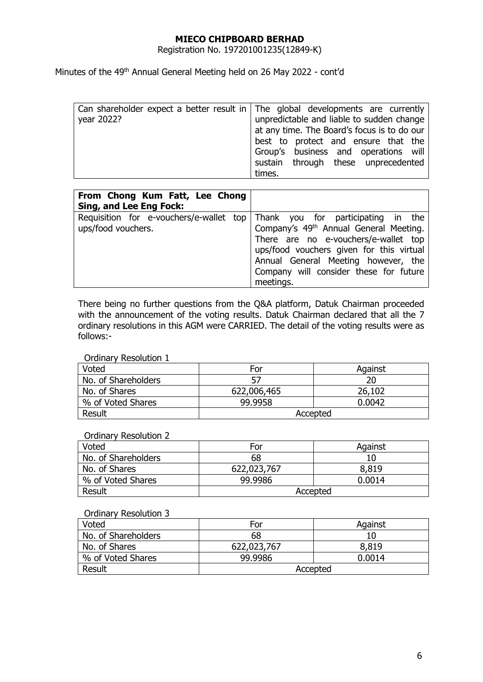Registration No. 197201001235(12849-K)

Minutes of the 49<sup>th</sup> Annual General Meeting held on 26 May 2022 - cont'd

|            | Can shareholder expect a better result in The global developments are currently |
|------------|---------------------------------------------------------------------------------|
| year 2022? | unpredictable and liable to sudden change                                       |
|            | at any time. The Board's focus is to do our                                     |
|            | best to protect and ensure that the                                             |
|            | Group's business and operations will                                            |
|            | sustain through these unprecedented                                             |
|            | times.                                                                          |

| From Chong Kum Fatt, Lee Chong<br>Sing, and Lee Eng Fock: |                                                                                                                                                                                                                                                                                                                    |
|-----------------------------------------------------------|--------------------------------------------------------------------------------------------------------------------------------------------------------------------------------------------------------------------------------------------------------------------------------------------------------------------|
| ups/food vouchers.                                        | Requisition for e-vouchers/e-wallet top Thank you for participating in the<br>Company's 49 <sup>th</sup> Annual General Meeting.<br>There are no e-vouchers/e-wallet top<br>ups/food vouchers given for this virtual<br>Annual General Meeting however, the<br>Company will consider these for future<br>meetings. |

There being no further questions from the Q&A platform, Datuk Chairman proceeded with the announcement of the voting results. Datuk Chairman declared that all the 7 ordinary resolutions in this AGM were CARRIED. The detail of the voting results were as follows:-

#### Ordinary Resolution 1

| Voted               | For         | Against |
|---------------------|-------------|---------|
| No. of Shareholders |             | 20      |
| No. of Shares       | 622,006,465 | 26,102  |
| % of Voted Shares   | 99.9958     | 0.0042  |
| Result              | Accepted    |         |

#### Ordinary Resolution 2

| Voted               | For         | Against |
|---------------------|-------------|---------|
| No. of Shareholders | 68          | 10      |
| No. of Shares       | 622,023,767 | 8,819   |
| % of Voted Shares   | 99.9986     | 0.0014  |
| Result              | Accepted    |         |

#### Ordinary Resolution 3

| Voted               | For         | Against |
|---------------------|-------------|---------|
| No. of Shareholders | 68          |         |
| No. of Shares       | 622,023,767 | 8,819   |
| % of Voted Shares   | 99.9986     | 0.0014  |
| Result              | Accepted    |         |